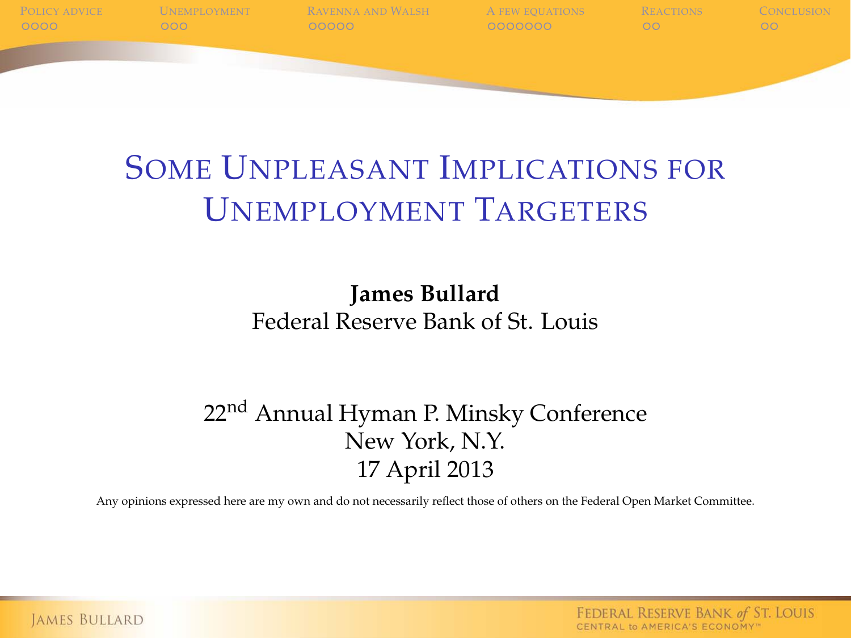

### SOME UNPLEASANT IMPLICATIONS FOR UNEMPLOYMENT TARGETERS

#### **James Bullard** Federal Reserve Bank of St. Louis

#### 22nd Annual Hyman P. Minsky Conference New York, N.Y. 17 April 2013

Any opinions expressed here are my own and do not necessarily reflect those of others on the Federal Open Market Committee.

FEDERAL RESERVE BANK of ST. LOUIS CENTRAL to AMERICA'S ECONOMY"

**JAMES BULLARD**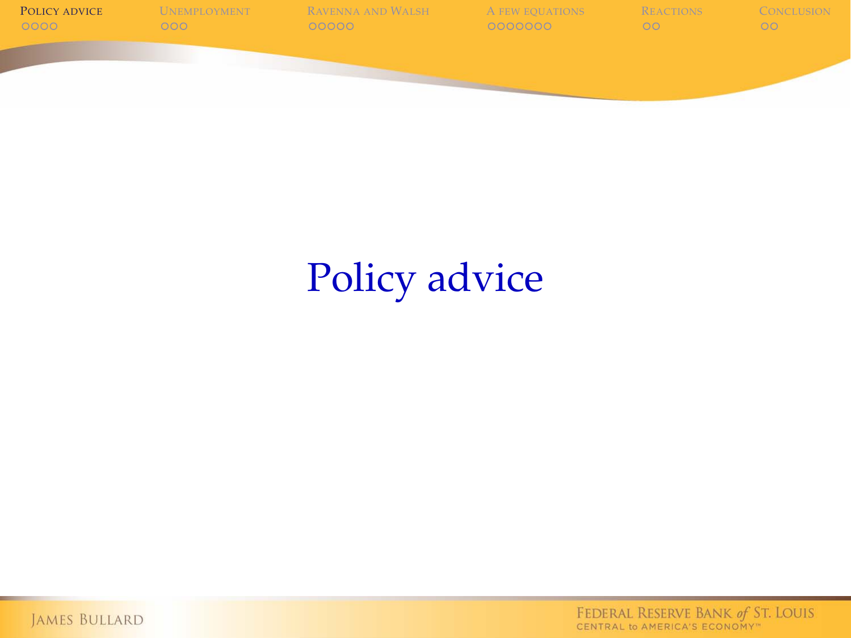

# Policy advice

<span id="page-1-0"></span>JAMES BULLARD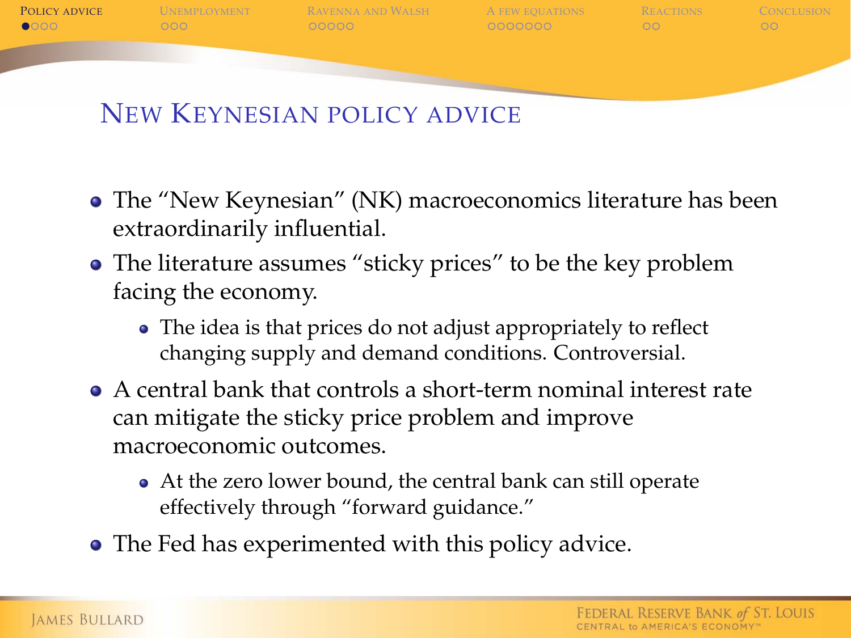

#### NEW KEYNESIAN POLICY ADVICE

- The "New Keynesian" (NK) macroeconomics literature has been extraordinarily influential.
- The literature assumes "sticky prices" to be the key problem facing the economy.
	- The idea is that prices do not adjust appropriately to reflect changing supply and demand conditions. Controversial.
- A central bank that controls a short-term nominal interest rate can mitigate the sticky price problem and improve macroeconomic outcomes.
	- At the zero lower bound, the central bank can still operate effectively through "forward guidance."
- The Fed has experimented with this policy advice.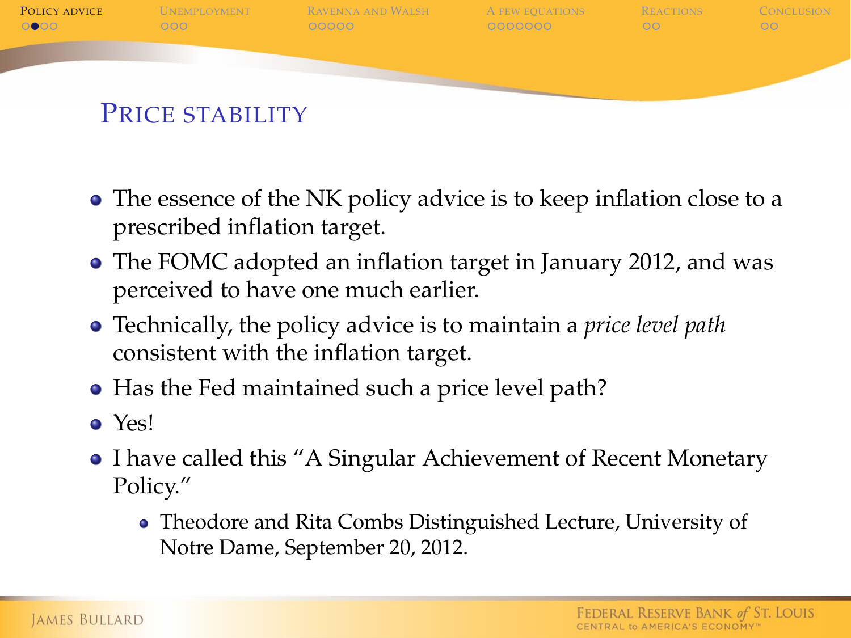

- The essence of the NK policy advice is to keep inflation close to a prescribed inflation target.
- The FOMC adopted an inflation target in January 2012, and was perceived to have one much earlier.
- Technically, the policy advice is to maintain a *price level path* consistent with the inflation target.
- Has the Fed maintained such a price level path?
- Yes!
- I have called this "A Singular Achievement of Recent Monetary Policy."
	- Theodore and Rita Combs Distinguished Lecture, University of Notre Dame, September 20, 2012.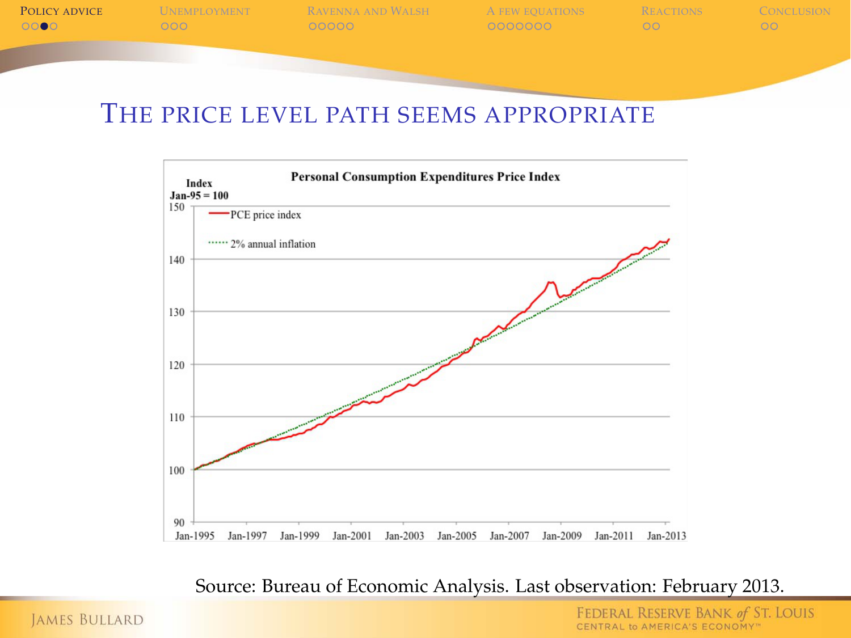**P[OLICY ADVICE](#page-1-0)** U[NEMPLOYMENT](#page-6-0) R[AVENNA AND](#page-10-0) WALSH A [FEW EQUATIONS](#page-16-0) R[EACTIONS](#page-24-0) C[ONCLUSION](#page-27-0)

#### THE PRICE LEVEL PATH SEEMS APPROPRIATE



Source: Bureau of Economic Analysis. Last observation: February 2013.

**JAMES BULLARD**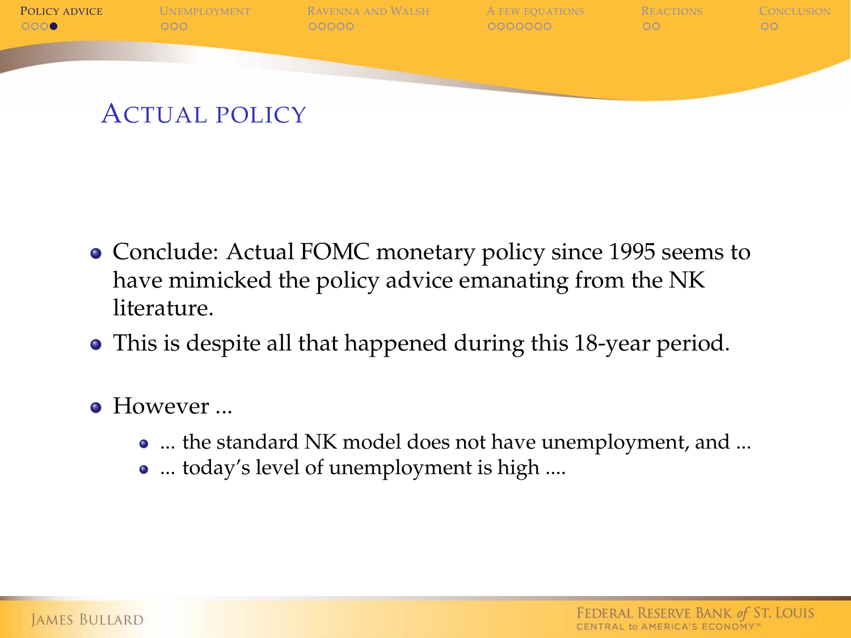

- Conclude: Actual FOMC monetary policy since 1995 seems to have mimicked the policy advice emanating from the NK literature.
- This is despite all that happened during this 18-year period.
- **.** However
	- ... the standard NK model does not have unemployment, and ...
	- ... today's level of unemployment is high ....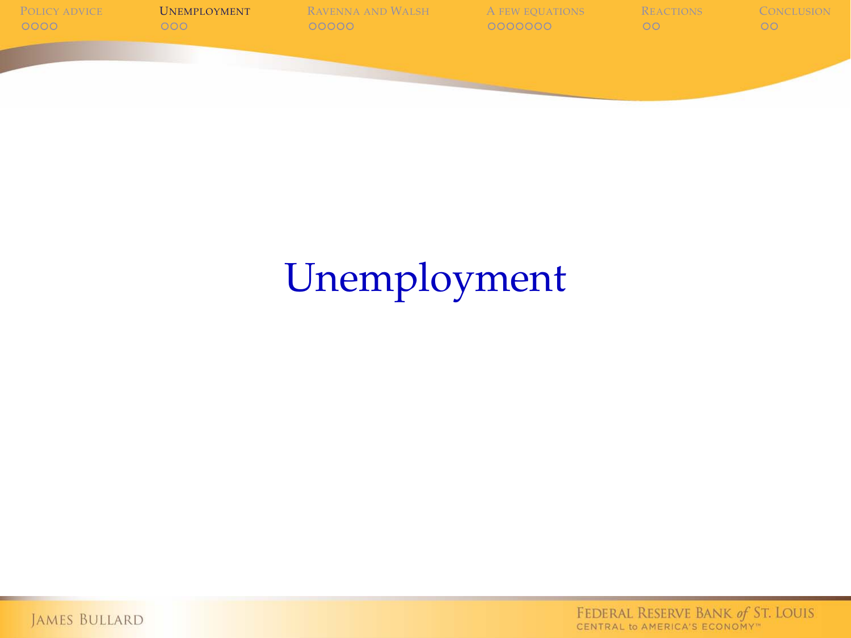

# Unemployment

<span id="page-6-0"></span>JAMES BULLARD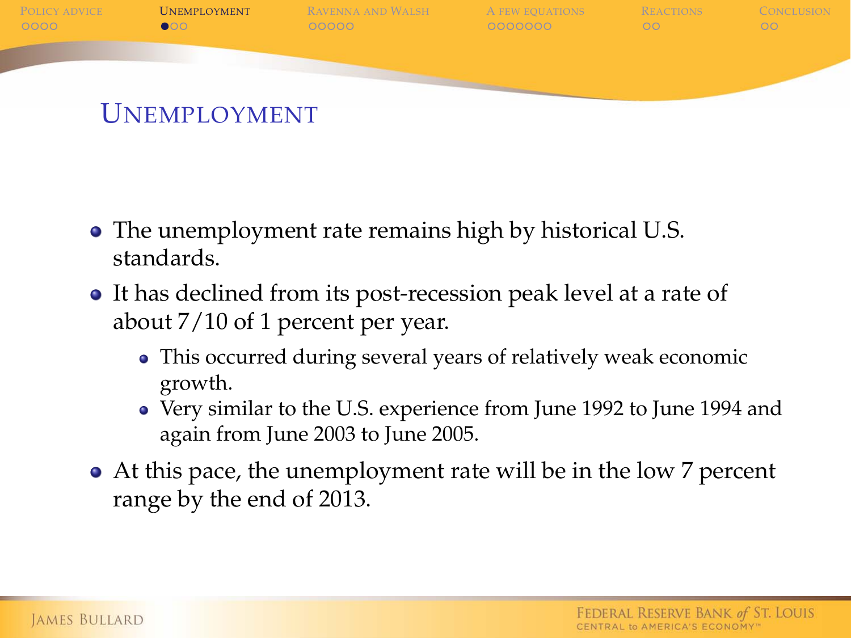

- The unemployment rate remains high by historical U.S. standards.
- It has declined from its post-recession peak level at a rate of about 7/10 of 1 percent per year.
	- This occurred during several years of relatively weak economic growth.
	- Very similar to the U.S. experience from June 1992 to June 1994 and again from June 2003 to June 2005.
- At this pace, the unemployment rate will be in the low 7 percent range by the end of 2013.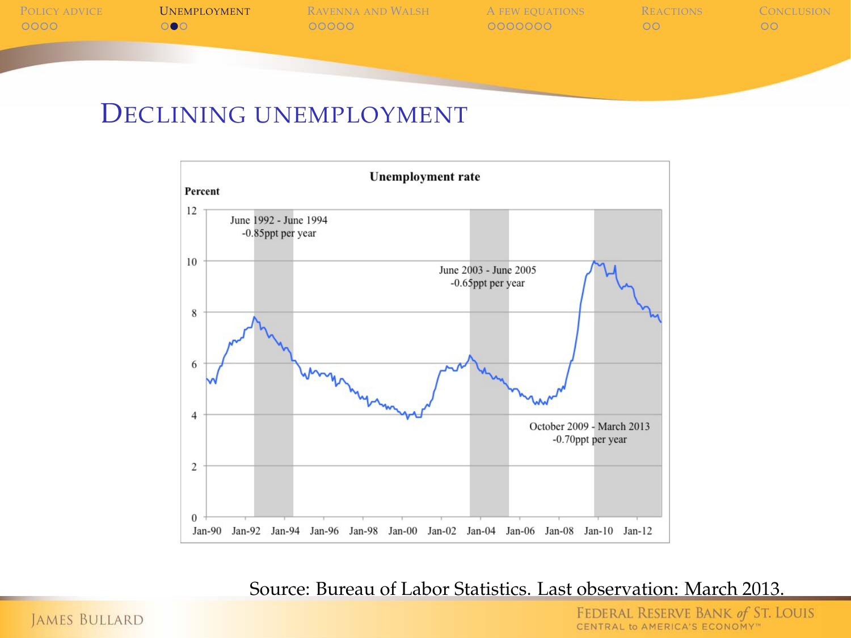P[OLICY ADVICE](#page-1-0) **U[NEMPLOYMENT](#page-6-0)** R[AVENNA AND](#page-10-0) WALSH A [FEW EQUATIONS](#page-16-0) R[EACTIONS](#page-24-0) C[ONCLUSION](#page-27-0)

#### DECLINING UNEMPLOYMENT



Source: Bureau of Labor Statistics. Last observation: March 2013.

**JAMES BULLARD**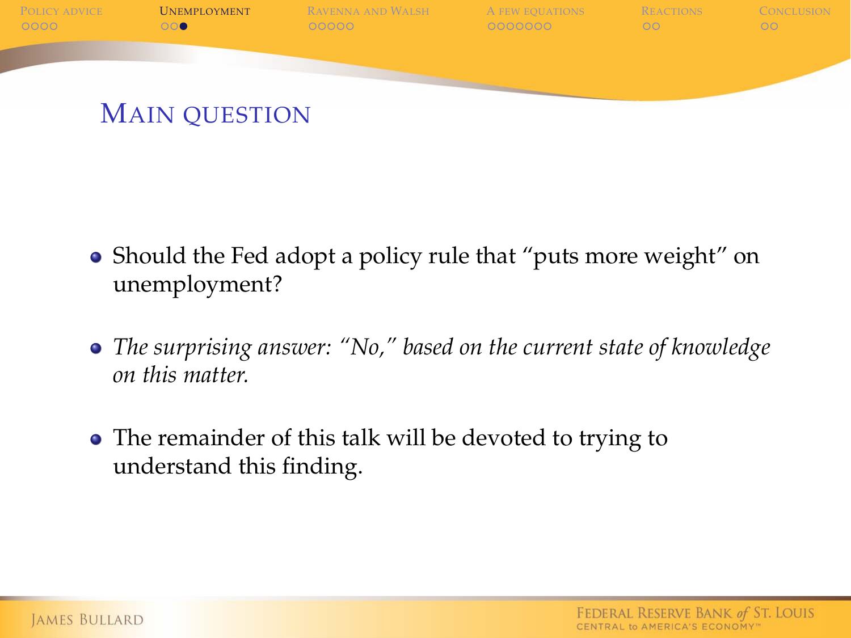

- Should the Fed adopt a policy rule that "puts more weight" on unemployment?
- *The surprising answer: "No," based on the current state of knowledge on this matter.*
- The remainder of this talk will be devoted to trying to understand this finding.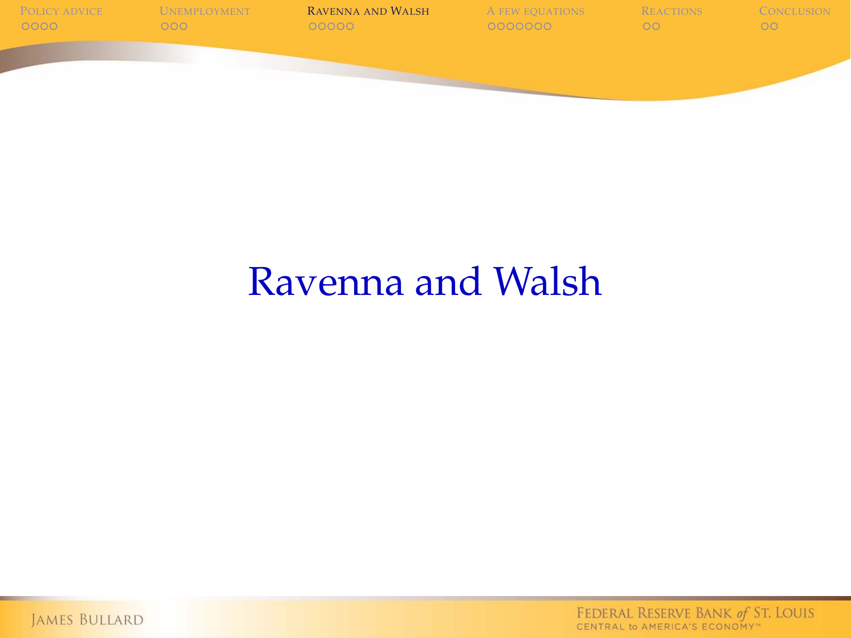

## Ravenna and Walsh

<span id="page-10-0"></span>JAMES BULLARD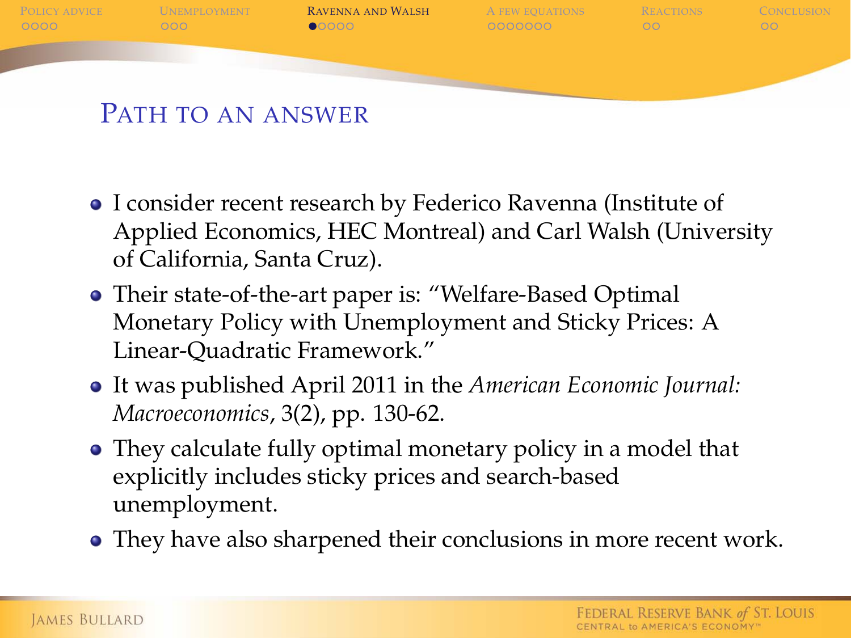

- I consider recent research by Federico Ravenna (Institute of Applied Economics, HEC Montreal) and Carl Walsh (University of California, Santa Cruz).
- Their state-of-the-art paper is: "Welfare-Based Optimal Monetary Policy with Unemployment and Sticky Prices: A Linear-Quadratic Framework."
- It was published April 2011 in the *American Economic Journal: Macroeconomics*, 3(2), pp. 130-62.
- They calculate fully optimal monetary policy in a model that explicitly includes sticky prices and search-based unemployment.
- They have also sharpened their conclusions in more recent work.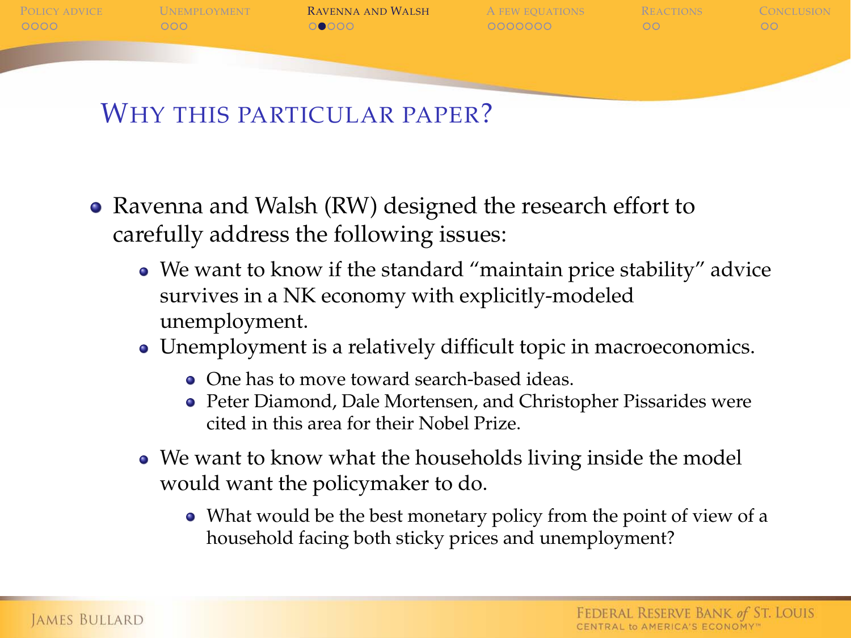

#### WHY THIS PARTICULAR PAPER?

- Ravenna and Walsh (RW) designed the research effort to carefully address the following issues:
	- We want to know if the standard "maintain price stability" advice survives in a NK economy with explicitly-modeled unemployment.
	- Unemployment is a relatively difficult topic in macroeconomics.
		- One has to move toward search-based ideas.
		- Peter Diamond, Dale Mortensen, and Christopher Pissarides were cited in this area for their Nobel Prize.
	- We want to know what the households living inside the model would want the policymaker to do.
		- What would be the best monetary policy from the point of view of a household facing both sticky prices and unemployment?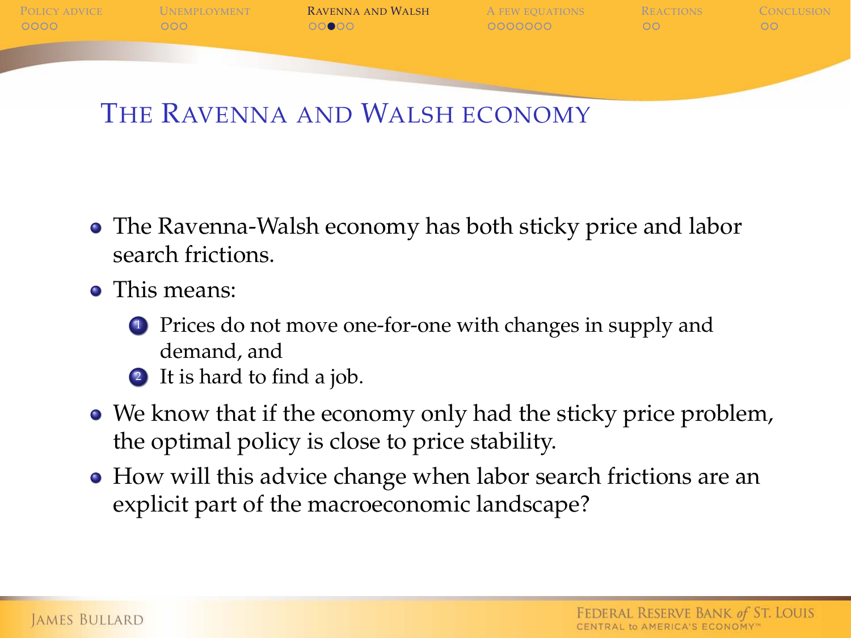

### THE RAVENNA AND WALSH ECONOMY

- The Ravenna-Walsh economy has both sticky price and labor search frictions.
- This means:
	- **1** Prices do not move one-for-one with changes in supply and demand, and
	- <sup>2</sup> It is hard to find a job.
- We know that if the economy only had the sticky price problem, the optimal policy is close to price stability.
- How will this advice change when labor search frictions are an explicit part of the macroeconomic landscape?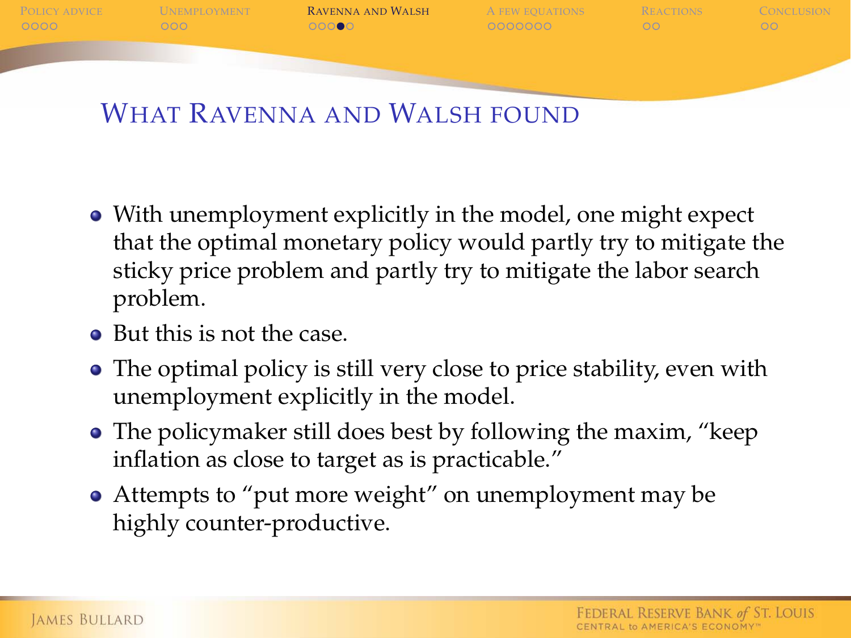P[OLICY ADVICE](#page-1-0) U[NEMPLOYMENT](#page-6-0) **R[AVENNA AND](#page-10-0) WALSH** A [FEW EQUATIONS](#page-16-0) R[EACTIONS](#page-24-0) C[ONCLUSION](#page-27-0)  $00000$ 

### WHAT RAVENNA AND WALSH FOUND

- With unemployment explicitly in the model, one might expect that the optimal monetary policy would partly try to mitigate the sticky price problem and partly try to mitigate the labor search problem.
- But this is not the case.
- The optimal policy is still very close to price stability, even with unemployment explicitly in the model.
- The policymaker still does best by following the maxim, "keep" inflation as close to target as is practicable."
- Attempts to "put more weight" on unemployment may be highly counter-productive.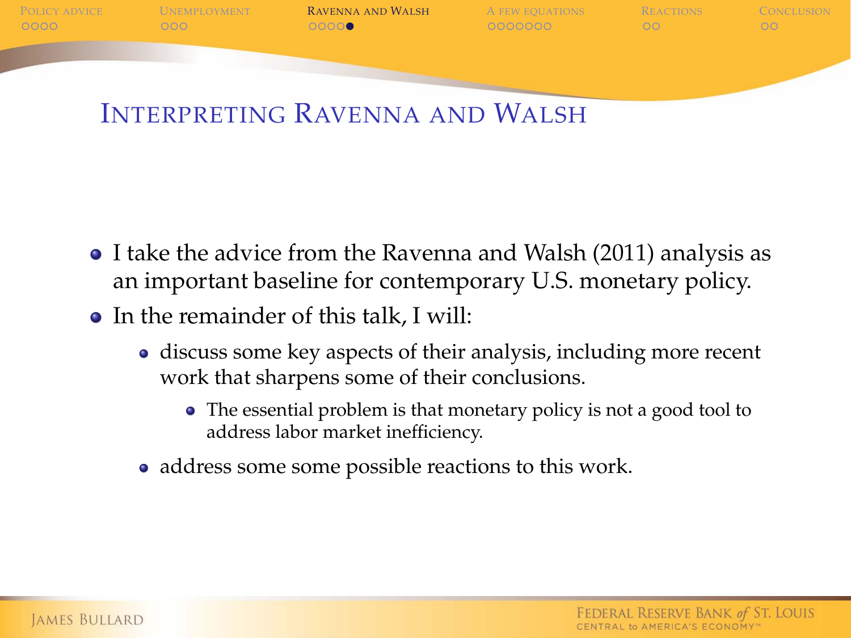P[OLICY ADVICE](#page-1-0) U[NEMPLOYMENT](#page-6-0) **R[AVENNA AND](#page-10-0) WALSH** A [FEW EQUATIONS](#page-16-0) R[EACTIONS](#page-24-0) C[ONCLUSION](#page-27-0)  $0000$ 

### INTERPRETING RAVENNA AND WALSH

- I take the advice from the Ravenna and Walsh (2011) analysis as an important baseline for contemporary U.S. monetary policy.
- In the remainder of this talk, I will:
	- discuss some key aspects of their analysis, including more recent work that sharpens some of their conclusions.
		- The essential problem is that monetary policy is not a good tool to address labor market inefficiency.
	- address some some possible reactions to this work.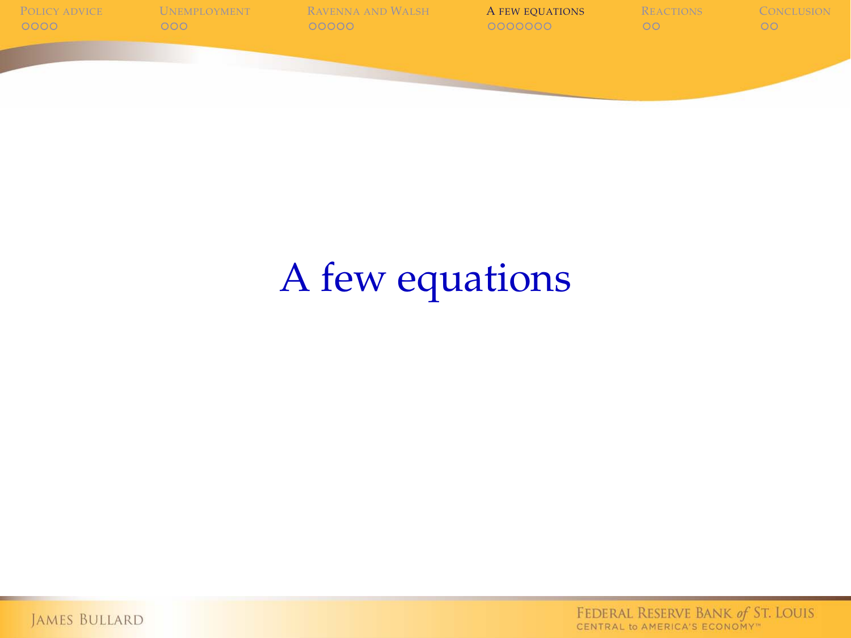

# A few equations

<span id="page-16-0"></span>JAMES BULLARD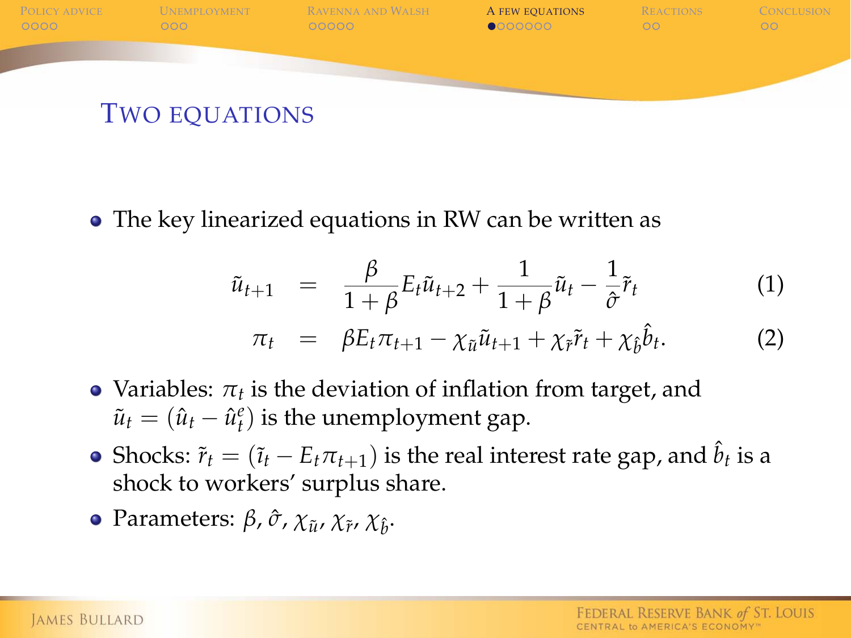

The key linearized equations in RW can be written as

$$
\tilde{u}_{t+1} = \frac{\beta}{1+\beta} E_t \tilde{u}_{t+2} + \frac{1}{1+\beta} \tilde{u}_t - \frac{1}{\hat{\sigma}} \tilde{r}_t \tag{1}
$$

$$
\pi_t = \beta E_t \pi_{t+1} - \chi_{\tilde{u}} \tilde{u}_{t+1} + \chi_{\tilde{r}} \tilde{r}_t + \chi_{\hat{b}} \hat{b}_t.
$$
 (2)

- Variables:  $\pi_t$  is the deviation of inflation from target, and  $\tilde{u}_t = (\hat{u}_t - \hat{u}_t^e)$  is the unemployment gap.
- Shocks:  $\tilde{r}_t = (\tilde{i}_t E_t \pi_{t+1})$  is the real interest rate gap, and  $\hat{b}_t$  is a shock to workers' surplus share.
- **Parameters: β, ծ, χ<sub>** $\tilde{u}$ **</sub>, χ<sub>** $\tilde{\imath}$ **</sub>, χ** $_{\hat{b}}$ **.**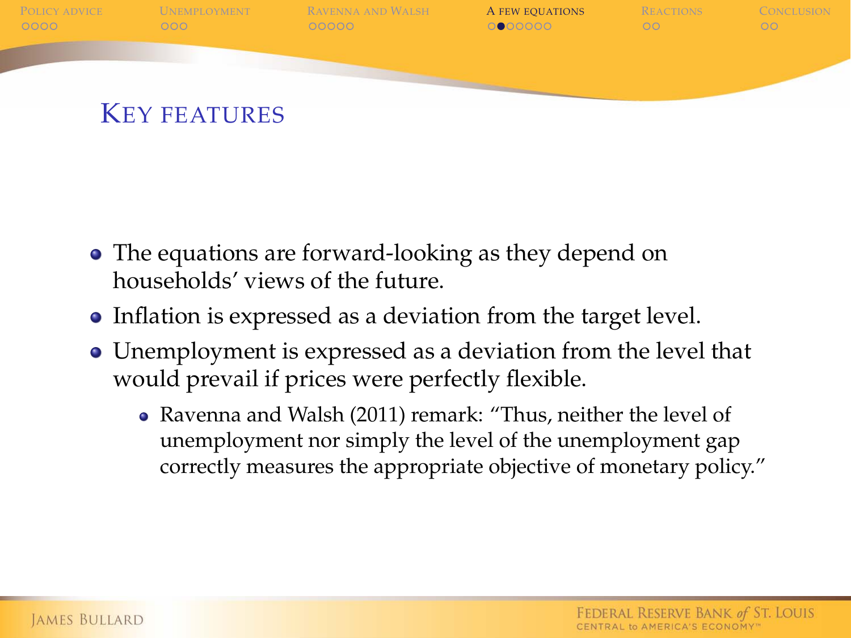

- The equations are forward-looking as they depend on households' views of the future.
- Inflation is expressed as a deviation from the target level.
- Unemployment is expressed as a deviation from the level that would prevail if prices were perfectly flexible.
	- Ravenna and Walsh (2011) remark: "Thus, neither the level of unemployment nor simply the level of the unemployment gap correctly measures the appropriate objective of monetary policy."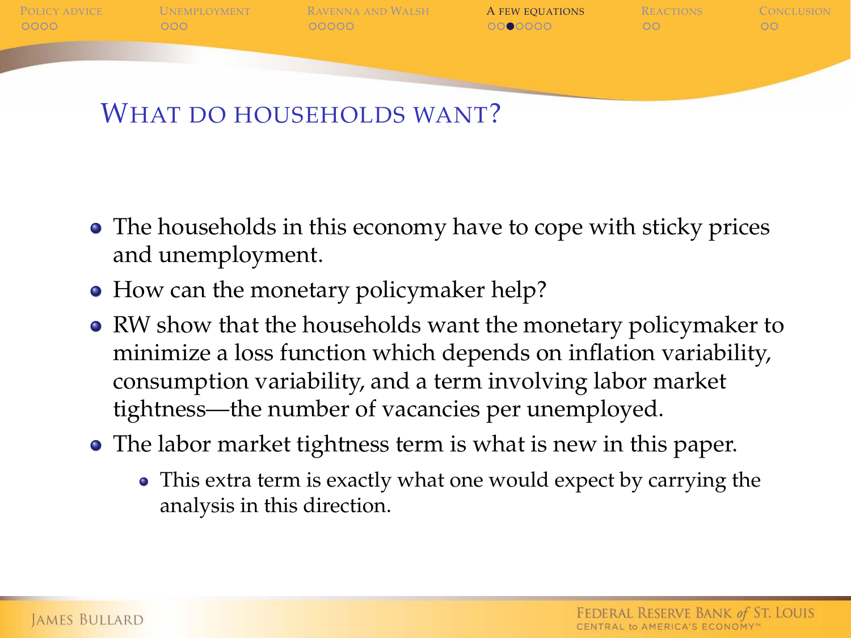

WHAT DO HOUSEHOLDS WANT?

- The households in this economy have to cope with sticky prices and unemployment.
- How can the monetary policymaker help?
- RW show that the households want the monetary policymaker to minimize a loss function which depends on inflation variability, consumption variability, and a term involving labor market tightness—the number of vacancies per unemployed.
- The labor market tightness term is what is new in this paper.
	- This extra term is exactly what one would expect by carrying the analysis in this direction.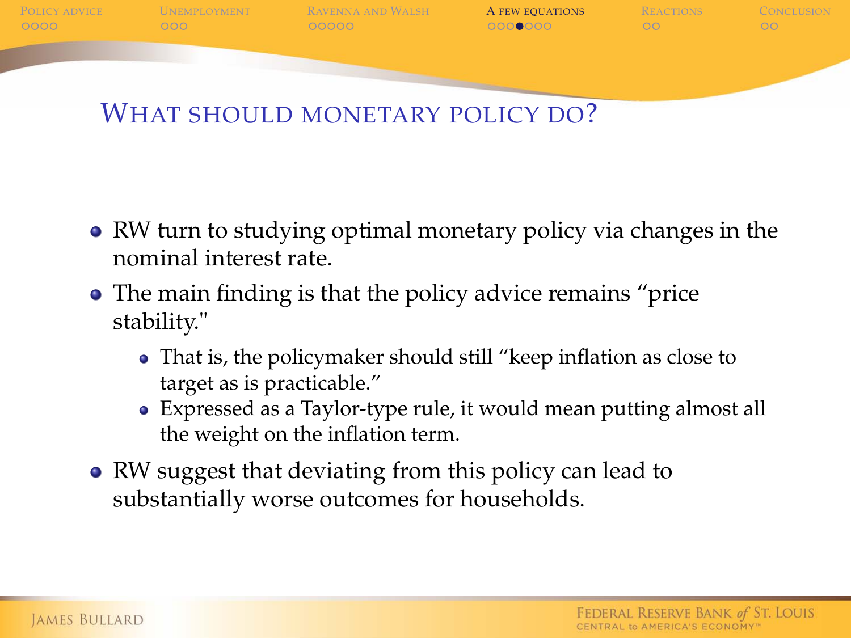

WHAT SHOULD MONETARY POLICY DO?

- RW turn to studying optimal monetary policy via changes in the nominal interest rate.
- The main finding is that the policy advice remains "price stability."
	- That is, the policymaker should still "keep inflation as close to target as is practicable."
	- Expressed as a Taylor-type rule, it would mean putting almost all the weight on the inflation term.
- RW suggest that deviating from this policy can lead to substantially worse outcomes for households.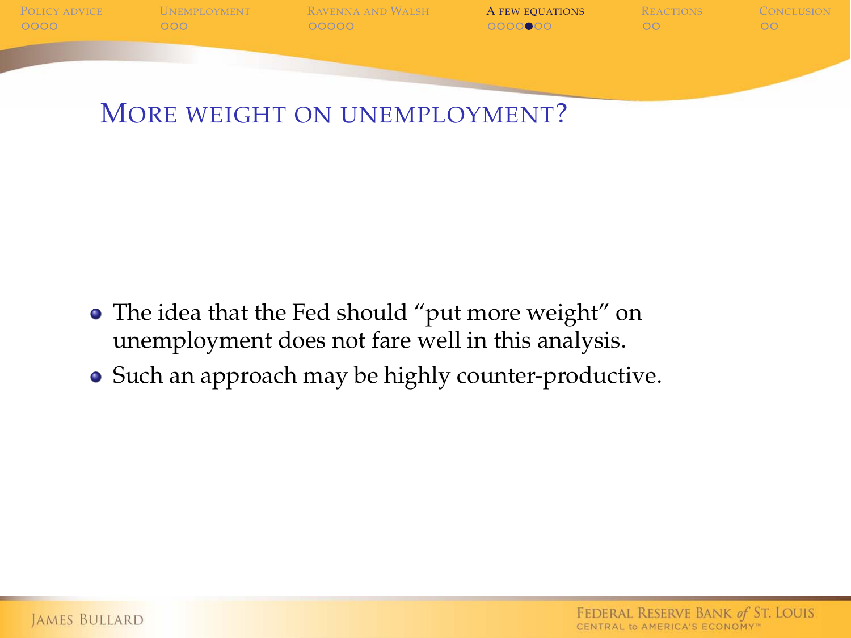

MORE WEIGHT ON UNEMPLOYMENT?

- The idea that the Fed should "put more weight" on unemployment does not fare well in this analysis.
- Such an approach may be highly counter-productive.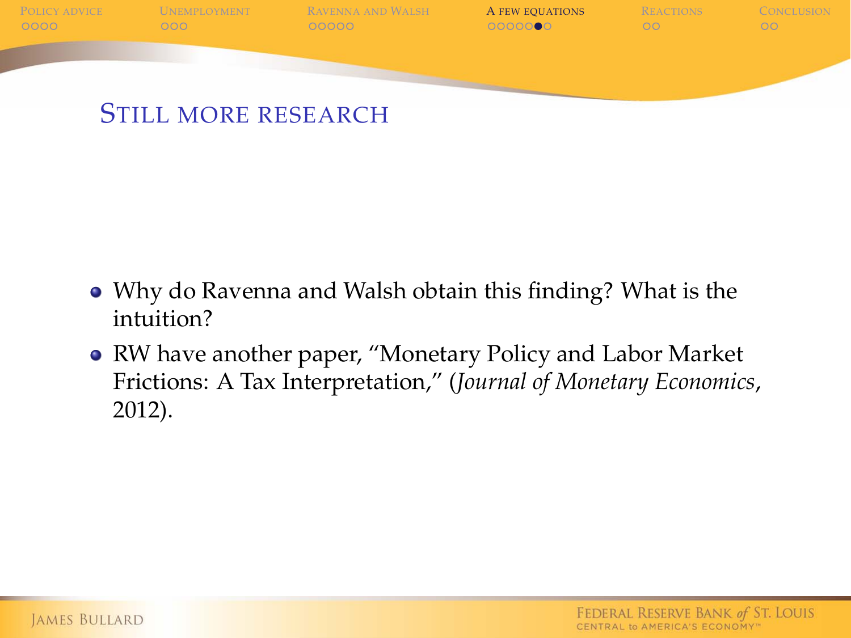

- Why do Ravenna and Walsh obtain this finding? What is the intuition?
- RW have another paper, "Monetary Policy and Labor Market Frictions: A Tax Interpretation," (*Journal of Monetary Economics*, 2012).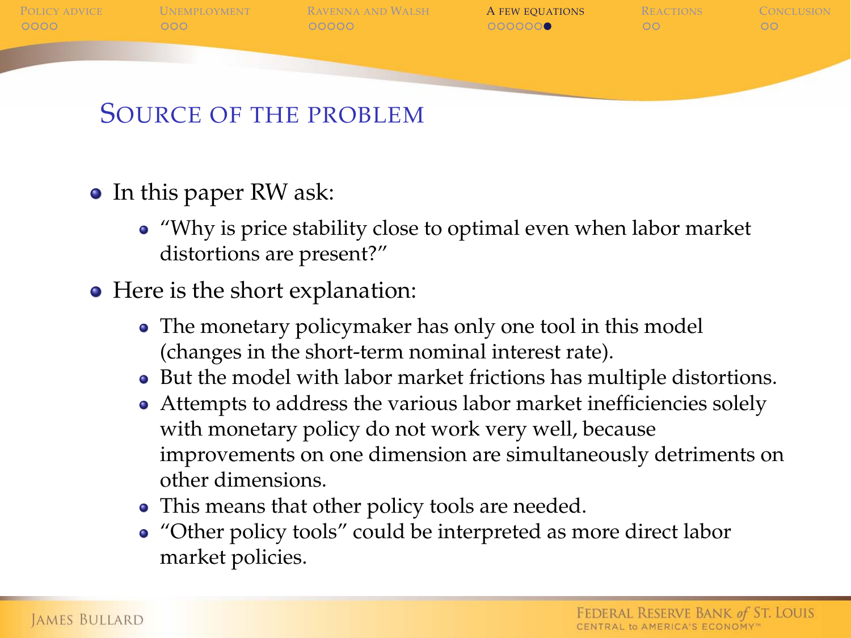

- In this paper RW ask:
	- "Why is price stability close to optimal even when labor market distortions are present?"
- Here is the short explanation:
	- The monetary policymaker has only one tool in this model (changes in the short-term nominal interest rate).
	- But the model with labor market frictions has multiple distortions.
	- Attempts to address the various labor market inefficiencies solely with monetary policy do not work very well, because improvements on one dimension are simultaneously detriments on other dimensions.
	- This means that other policy tools are needed.
	- "Other policy tools" could be interpreted as more direct labor market policies.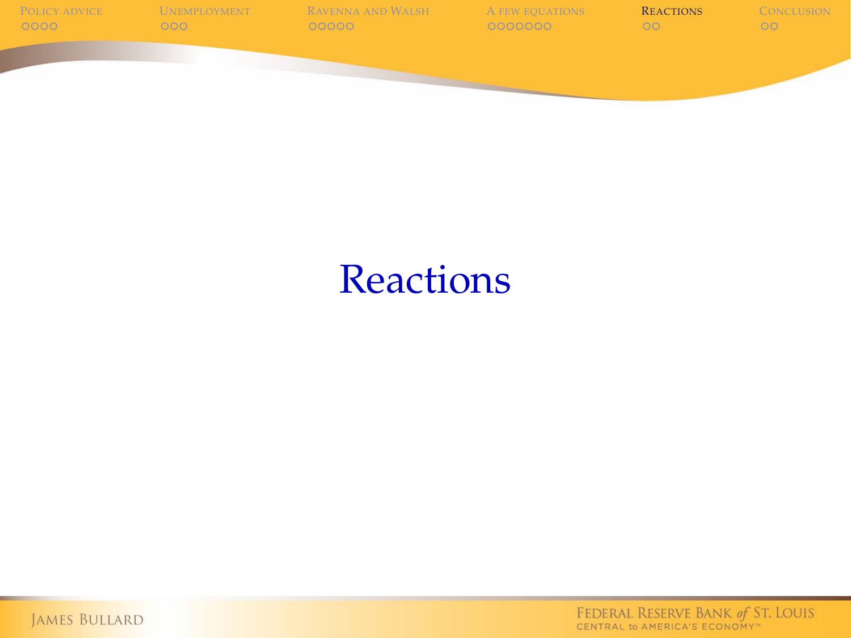

## **Reactions**

<span id="page-24-0"></span>JAMES BULLARD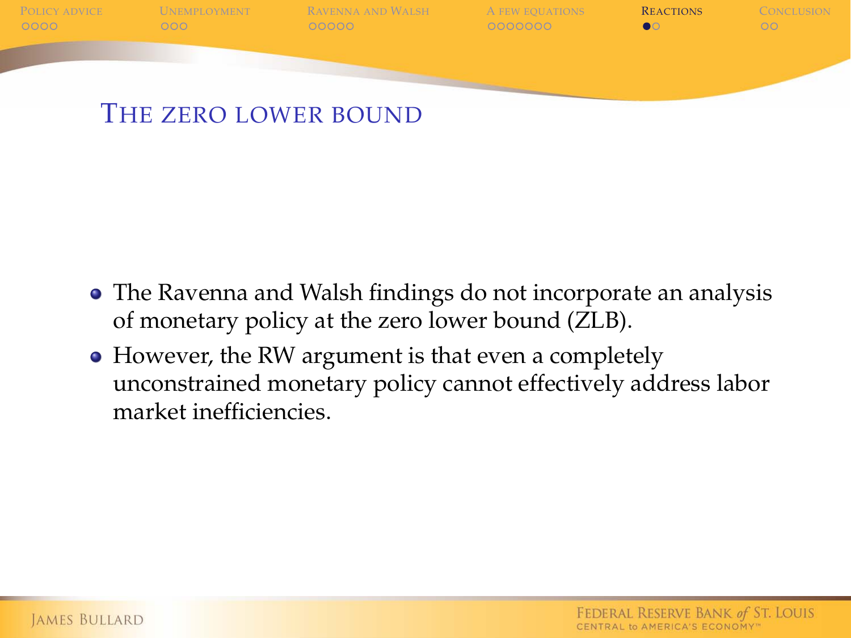

- The Ravenna and Walsh findings do not incorporate an analysis of monetary policy at the zero lower bound (ZLB).
- However, the RW argument is that even a completely unconstrained monetary policy cannot effectively address labor market inefficiencies.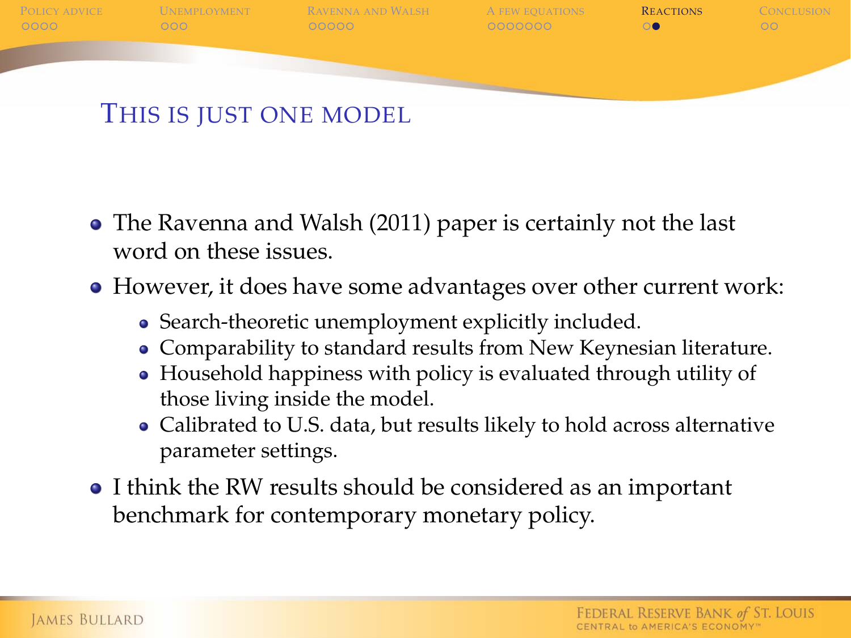

- The Ravenna and Walsh (2011) paper is certainly not the last word on these issues.
- However, it does have some advantages over other current work:
	- Search-theoretic unemployment explicitly included.
	- Comparability to standard results from New Keynesian literature.
	- Household happiness with policy is evaluated through utility of those living inside the model.
	- Calibrated to U.S. data, but results likely to hold across alternative parameter settings.
- I think the RW results should be considered as an important benchmark for contemporary monetary policy.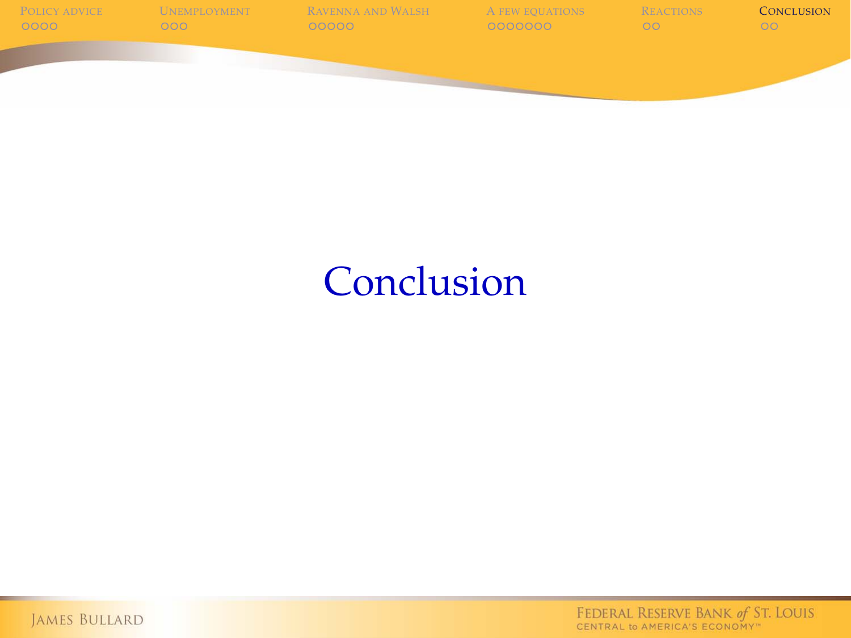

## **Conclusion**

<span id="page-27-0"></span>JAMES BULLARD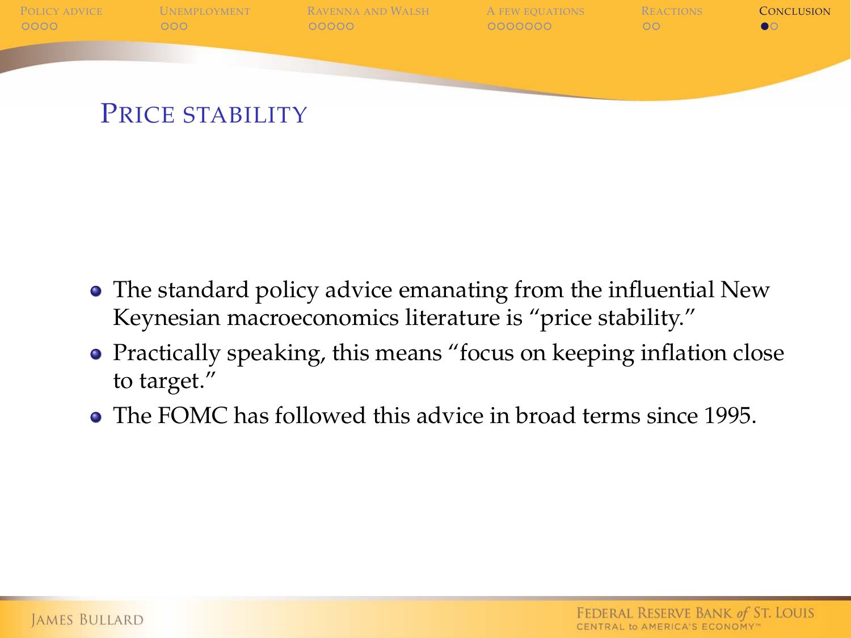

- The standard policy advice emanating from the influential New Keynesian macroeconomics literature is "price stability."
- Practically speaking, this means "focus on keeping inflation close to target."
- The FOMC has followed this advice in broad terms since 1995.